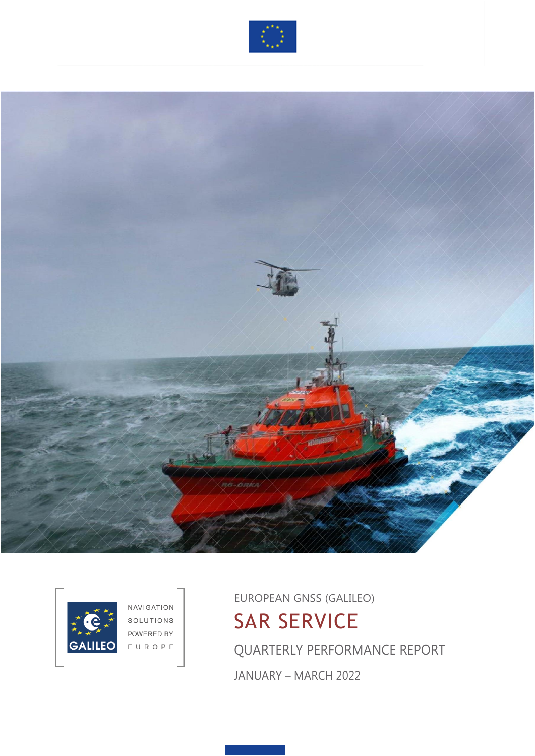





NAVIGATION SOLUTIONS POWERED BY EUROPE

EUROPEAN GNSS (GALILEO) SAR SERVICE QUARTERLY PERFORMANCE REPORT JANUARY – MARCH 2022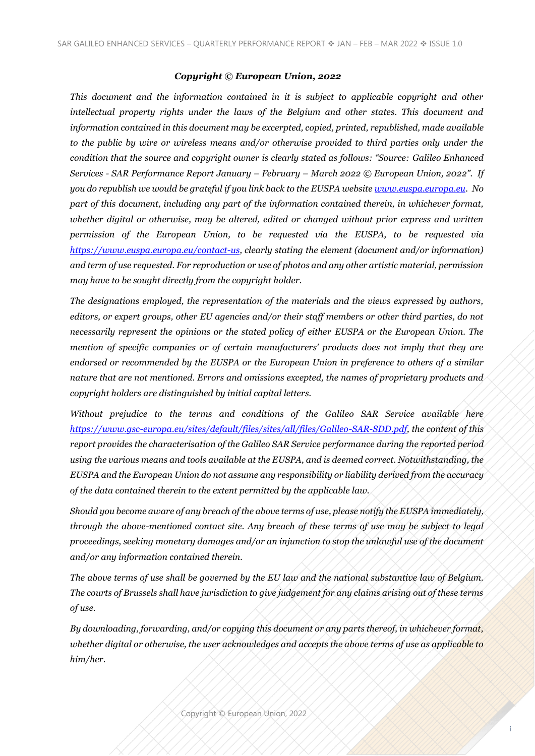#### *Copyright © European Union, 2022*

*This document and the information contained in it is subject to applicable copyright and other intellectual property rights under the laws of the Belgium and other states. This document and information contained in this document may be excerpted, copied, printed, republished, made available to the public by wire or wireless means and/or otherwise provided to third parties only under the condition that the source and copyright owner is clearly stated as follows: "Source: Galileo Enhanced Services - SAR Performance Report January – February – March 2022 © European Union, 2022". If you do republish we would be grateful if you link back to the EUSPA website [www.euspa.europa.eu.](http://www.euspa.europa.eu/) No part of this document, including any part of the information contained therein, in whichever format, whether digital or otherwise, may be altered, edited or changed without prior express and written permission of the European Union, to be requested via the EUSPA, to be requested via [https://www.euspa.europa.eu/contact-us,](https://www.euspa.europa.eu/contact-us) clearly stating the element (document and/or information) and term of use requested. For reproduction or use of photos and any other artistic material, permission may have to be sought directly from the copyright holder.*

*The designations employed, the representation of the materials and the views expressed by authors, editors, or expert groups, other EU agencies and/or their staff members or other third parties, do not necessarily represent the opinions or the stated policy of either EUSPA or the European Union. The mention of specific companies or of certain manufacturers' products does not imply that they are endorsed or recommended by the EUSPA or the European Union in preference to others of a similar nature that are not mentioned. Errors and omissions excepted, the names of proprietary products and copyright holders are distinguished by initial capital letters.* 

*Without prejudice to the terms and conditions of the Galileo SAR Service available here [https://www.gsc-europa.eu/sites/default/files/sites/all/files/Galileo-SAR-SDD.pdf,](https://www.gsc-europa.eu/sites/default/files/sites/all/files/Galileo-SAR-SDD.pdf) the content of this report provides the characterisation of the Galileo SAR Service performance during the reported period using the various means and tools available at the EUSPA, and is deemed correct. Notwithstanding, the EUSPA and the European Union do not assume any responsibility or liability derived from the accuracy of the data contained therein to the extent permitted by the applicable law.*

*Should you become aware of any breach of the above terms of use, please notify the EUSPA immediately, through the above-mentioned contact site. Any breach of these terms of use may be subject to legal proceedings, seeking monetary damages and/or an injunction to stop the unlawful use of the document and/or any information contained therein.*

*The above terms of use shall be governed by the EU law and the national substantive law of Belgium. The courts of Brussels shall have jurisdiction to give judgement for any claims arising out of these terms of use.*

*By downloading, forwarding, and/or copying this document or any parts thereof, in whichever format, whether digital or otherwise, the user acknowledges and accepts the above terms of use as applicable to him/her.*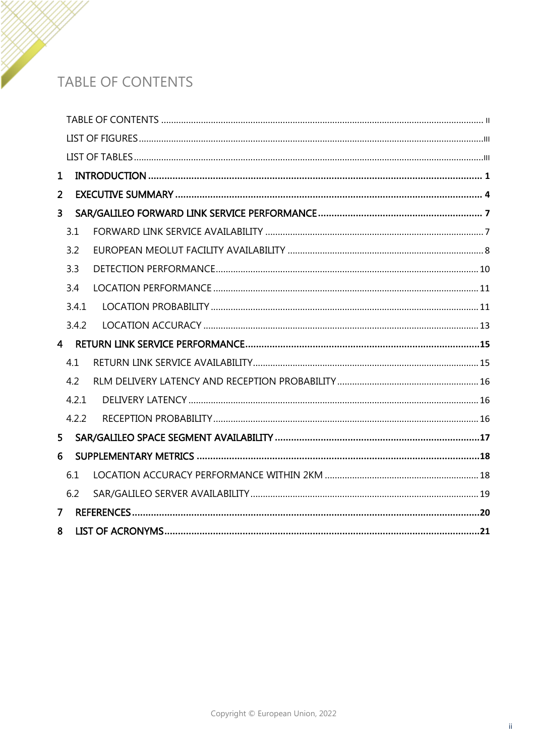## <span id="page-2-0"></span>TABLE OF CONTENTS

| 1                       |       |  |
|-------------------------|-------|--|
| $\overline{2}$          |       |  |
| $\overline{\mathbf{3}}$ |       |  |
|                         | 3.1   |  |
|                         | 3.2   |  |
|                         | 3.3   |  |
|                         | 3.4   |  |
|                         | 3.4.1 |  |
|                         | 3.4.2 |  |
|                         |       |  |
|                         | 4.1   |  |
|                         | 4.2   |  |
|                         | 4.2.1 |  |
|                         | 4.2.2 |  |
| 5 <sup>1</sup>          |       |  |
| 6                       |       |  |
|                         | 6.1   |  |
|                         | 6.2   |  |
| $\overline{7}$          |       |  |
| 8                       |       |  |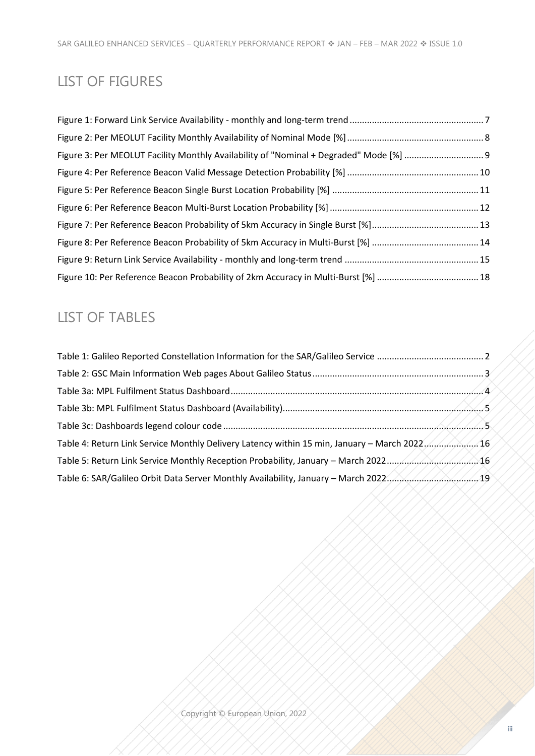## <span id="page-3-0"></span>LIST OF FIGURES

#### <span id="page-3-1"></span>LIST OF TABLES

| 16. Table 4: Return Link Service Monthly Delivery Latency within 15 min, January - March 2022     |  |
|---------------------------------------------------------------------------------------------------|--|
|                                                                                                   |  |
| Table 6: SAR/Galileo Orbit Data Server Monthly Availability, January – March 2022. A. A. A. A. A. |  |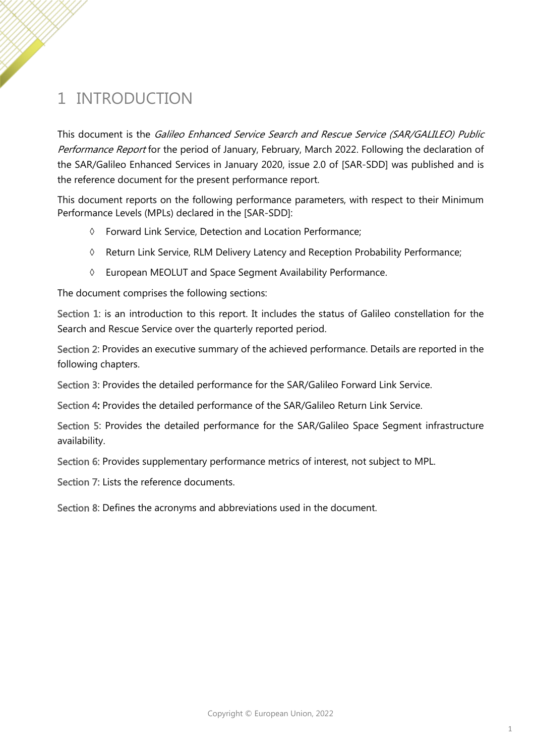# <span id="page-4-0"></span>1 INTRODUCTION

This document is the Galileo Enhanced Service Search and Rescue Service (SAR/GALILEO) Public Performance Report for the period of January, February, March 2022. Following the declaration of the SAR/Galileo Enhanced Services in January 2020, issue 2.0 of [\[SAR-SDD\]](#page-23-1) was published and is the reference document for the present performance report.

This document reports on the following performance parameters, with respect to their Minimum Performance Levels (MPLs) declared in the [SAR-SDD]:

- Forward Link Service, Detection and Location Performance;
- Return Link Service, RLM Delivery Latency and Reception Probability Performance;
- European MEOLUT and Space Segment Availability Performance.

The document comprises the following sections:

Section [1:](#page-4-0) is an introduction to this report. It includes the status of Galileo constellation for the Search and Rescue Service over the quarterly reported period.

Section [2:](#page-7-0) Provides an executive summary of the achieved performance. Details are reported in the following chapters.

Section [3:](#page-10-0) Provides the detailed performance for the SAR/Galileo Forward Link Service.

Section [4:](#page-18-0) Provides the detailed performance of the SAR/Galileo Return Link Service.

Section [5:](#page-20-0) Provides the detailed performance for the SAR/Galileo Space Segment infrastructure availability.

Section [6:](#page-21-0) Provides supplementary performance metrics of interest, not subject to MPL.

Section [7:](#page-23-0) Lists the reference documents.

Section [8:](#page-24-0) Defines the acronyms and abbreviations used in the document.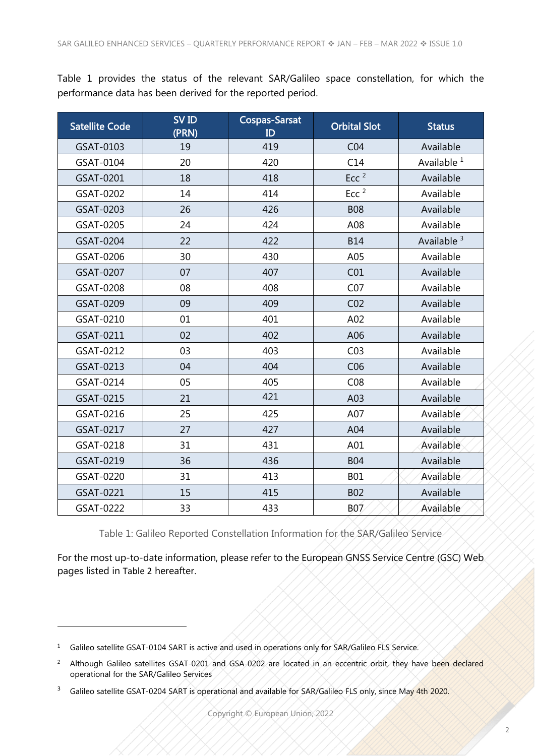[Table 1](#page-5-0) provides the status of the relevant SAR/Galileo space constellation, for which the performance data has been derived for the reported period.

| <b>Satellite Code</b> | SV ID<br>(PRN) | <b>Cospas-Sarsat</b><br>ID | <b>Orbital Slot</b> | <b>Status</b>          |
|-----------------------|----------------|----------------------------|---------------------|------------------------|
| GSAT-0103             | 19             | 419                        | CO <sub>4</sub>     | Available              |
| GSAT-0104             | 20             | 420                        | C14                 | Available <sup>1</sup> |
| GSAT-0201             | 18             | 418                        | Ecc <sup>2</sup>    | Available              |
| GSAT-0202             | 14             | 414                        | Ecc <sup>2</sup>    | Available              |
| GSAT-0203             | 26             | 426                        | <b>B08</b>          | Available              |
| GSAT-0205             | 24             | 424                        | A08                 | Available              |
| GSAT-0204             | 22             | 422                        | <b>B14</b>          | Available <sup>3</sup> |
| GSAT-0206             | 30             | 430                        | A05                 | Available              |
| GSAT-0207             | 07             | 407                        | CO <sub>1</sub>     | Available              |
| GSAT-0208             | 08             | 408                        | CO <sub>7</sub>     | Available              |
| GSAT-0209             | 09             | 409                        | CO <sub>2</sub>     | Available              |
| GSAT-0210             | 01             | 401                        | A02                 | Available              |
| GSAT-0211             | 02             | 402                        | A06                 | Available              |
| GSAT-0212             | 03             | 403                        | CO <sub>3</sub>     | Available              |
| GSAT-0213             | 04             | 404                        | C <sub>06</sub>     | Available              |
| GSAT-0214             | 05             | 405                        | CO8                 | Available              |
| GSAT-0215             | 21             | 421                        | A03                 | Available              |
| GSAT-0216             | 25             | 425                        | A07                 | Available              |
| GSAT-0217             | 27             | 427                        | A04                 | Available              |
| GSAT-0218             | 31             | 431                        | A01                 | Available              |
| GSAT-0219             | 36             | 436                        | <b>B04</b>          | Available              |
| GSAT-0220             | 31             | 413                        | <b>B01</b>          | Available              |
| GSAT-0221             | 15             | 415                        | <b>B02</b>          | Available              |
| GSAT-0222             | 33             | 433                        | B07                 | Available              |

Table 1: Galileo Reported Constellation Information for the SAR/Galileo Service

<span id="page-5-0"></span>For the most up-to-date information, please refer to the European GNSS Service Centre (GSC) Web pages listed in [Table 2](#page-6-0) hereafter.

<sup>&</sup>lt;sup>1</sup> Galileo satellite GSAT-0104 SART is active and used in operations only for SAR/Galileo FLS Service.

<sup>&</sup>lt;sup>2</sup> Although Galileo satellites GSAT-0201 and GSA-0202 are located in an eccentric orbit, they have been declared operational for the SAR/Galileo Services

<sup>&</sup>lt;sup>3</sup> Galileo satellite GSAT-0204 SART is operational and available for SAR/Galileo FLS only, since May 4th 2020.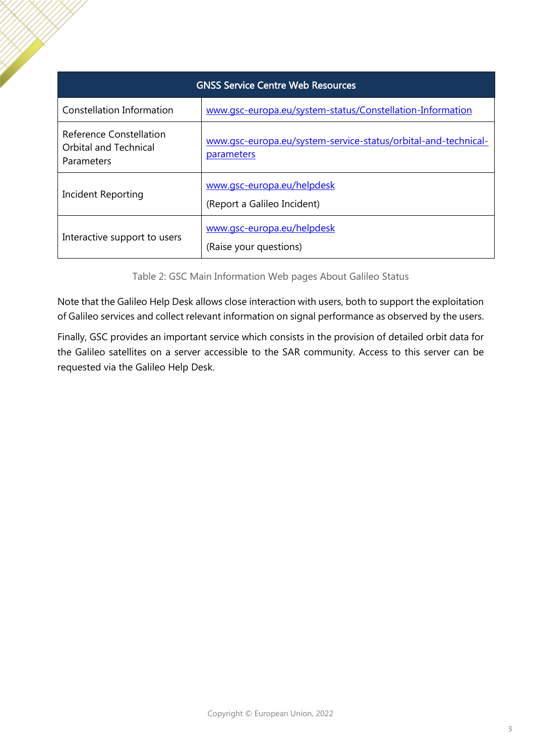| <b>GNSS Service Centre Web Resources</b>                              |                                                                              |  |  |
|-----------------------------------------------------------------------|------------------------------------------------------------------------------|--|--|
| Constellation Information                                             | www.gsc-europa.eu/system-status/Constellation-Information                    |  |  |
| Reference Constellation<br><b>Orbital and Technical</b><br>Parameters | www.gsc-europa.eu/system-service-status/orbital-and-technical-<br>parameters |  |  |
| Incident Reporting                                                    | www.gsc-europa.eu/helpdesk<br>(Report a Galileo Incident)                    |  |  |
| Interactive support to users                                          | www.gsc-europa.eu/helpdesk<br>(Raise your questions)                         |  |  |

Table 2: GSC Main Information Web pages About Galileo Status

<span id="page-6-0"></span>Note that the Galileo Help Desk allows close interaction with users, both to support the exploitation of Galileo services and collect relevant information on signal performance as observed by the users.

Finally, GSC provides an important service which consists in the provision of detailed orbit data for the Galileo satellites on a server accessible to the SAR community. Access to this server can be requested via the Galileo Help Desk.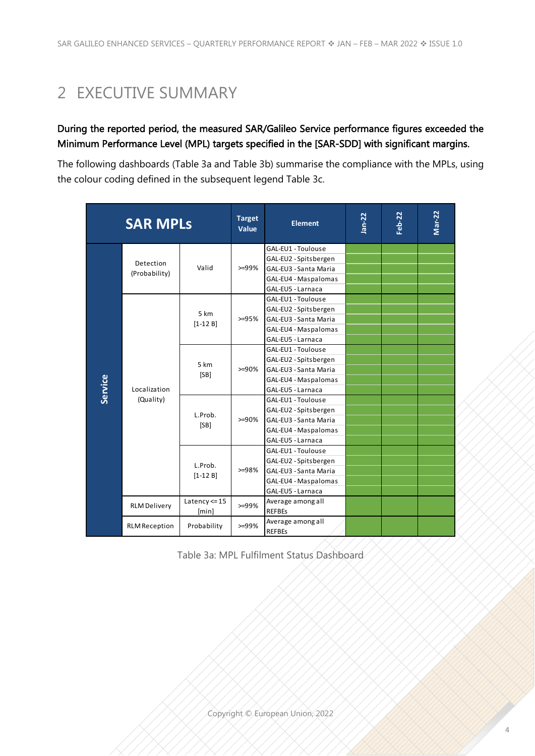# <span id="page-7-0"></span>2 EXECUTIVE SUMMARY

#### During the reported period, the measured SAR/Galileo Service performance figures exceeded the Minimum Performance Level (MPL) targets specified in the [\[SAR-SDD\]](#page-23-1) with significant margins.

The following dashboards [\(Table 3a](#page-7-1) and [Table 3b](#page-8-0)) summarise the compliance with the MPLs, using the colour coding defined in the subsequent legend [Table 3c](#page-8-1).

|         | <b>SAR MPLs</b>           |                   | <b>Target</b><br>Value | <b>Element</b>                     | $Jan-22$ | Feb-22 | Mar-22 |
|---------|---------------------------|-------------------|------------------------|------------------------------------|----------|--------|--------|
|         |                           |                   |                        | GAL-EU1 - Toulouse                 |          |        |        |
|         | <b>Detection</b>          |                   |                        | GAL-EU2 - Spitsbergen              |          |        |        |
|         | (Probability)             | Valid             | $> = 99\%$             | GAL-EU3 - Santa Maria              |          |        |        |
|         |                           |                   |                        | GAL-EU4 - Maspalomas               |          |        |        |
|         |                           |                   |                        | GAL-EU5 - Larnaca                  |          |        |        |
|         |                           |                   |                        | GAL-EU1 - Toulouse                 |          |        |        |
|         |                           | 5 km              |                        | GAL-EU2 - Spitsbergen              |          |        |        |
|         |                           | $[1-12B]$         | $> = 95%$              | GAL-EU3 - Santa Maria              |          |        |        |
|         |                           |                   |                        | GAL-EU4 - Maspalomas               |          |        |        |
|         | Localization<br>(Quality) |                   |                        | GAL-EU5 - Larnaca                  |          |        |        |
|         |                           | 5 km<br>[SB]      | $>=90%$                | GAL-EU1 - Toulouse                 |          |        |        |
|         |                           |                   |                        | GAL-EU2 - Spitsbergen              |          |        |        |
|         |                           |                   |                        | GAL-EU3 - Santa Maria              |          |        |        |
|         |                           |                   |                        | GAL-EU4 - Maspalomas               |          |        |        |
| Service |                           |                   |                        | GAL-EU5 - Larnaca                  |          |        |        |
|         |                           | L.Prob.<br>[SB]   | $>=90%$                | GAL-EU1 - Toulouse                 |          |        |        |
|         |                           |                   |                        | GAL-EU2 - Spitsbergen              |          |        |        |
|         |                           |                   |                        | GAL-EU3 - Santa Maria              |          |        |        |
|         |                           |                   |                        | GAL-EU4 - Maspalomas               |          |        |        |
|         |                           |                   |                        | GAL-EU5 - Larnaca                  |          |        |        |
|         |                           |                   |                        | GAL-EU1 - Toulouse                 |          |        |        |
|         |                           | L.Prob.           |                        | GAL-EU2 - Spitsbergen              |          |        |        |
|         |                           | $[1-12B]$         | $>=98%$                | GAL-EU3 - Santa Maria              |          |        |        |
|         |                           |                   |                        | GAL-EU4 - Maspalomas               |          |        |        |
|         |                           |                   |                        | GAL-EU5 - Larnaca                  |          |        |        |
|         | <b>RLM Delivery</b>       | Latency $\leq 15$ | $>=99%$                | Average among all                  |          |        |        |
|         |                           | [min]             |                        | <b>REFBES</b>                      |          |        |        |
|         | <b>RLM Reception</b>      | Probability       | $> = 99%$              | Average among all<br><b>REFBEs</b> |          |        |        |

<span id="page-7-1"></span>Table 3a: MPL Fulfilment Status Dashboard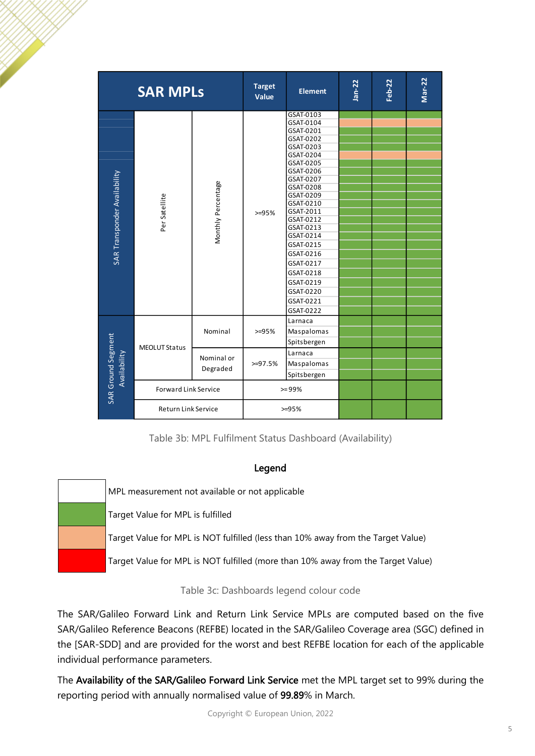|                                    | <b>SAR MPLs</b>             |                        | <b>Target</b><br>Value | <b>Element</b>                                                                                                                                                                                                                                                                                                       | Jan-22 | Feb-22 | Mar-22 |
|------------------------------------|-----------------------------|------------------------|------------------------|----------------------------------------------------------------------------------------------------------------------------------------------------------------------------------------------------------------------------------------------------------------------------------------------------------------------|--------|--------|--------|
| SAR Transponder Availability       | Per Satellite               | Monthly Percentage     | $>=95%$                | GSAT-0103<br>GSAT-0104<br>GSAT-0201<br>GSAT-0202<br>GSAT-0203<br>GSAT-0204<br>GSAT-0205<br>GSAT-0206<br>GSAT-0207<br>GSAT-0208<br>GSAT-0209<br>GSAT-0210<br>GSAT-2011<br>GSAT-0212<br>GSAT-0213<br>GSAT-0214<br>GSAT-0215<br>GSAT-0216<br>GSAT-0217<br>GSAT-0218<br>GSAT-0219<br>GSAT-0220<br>GSAT-0221<br>GSAT-0222 |        |        |        |
|                                    | <b>MEOLUT Status</b>        | Nominal                | $>=95%$                | Larnaca<br>Maspalomas<br>Spitsbergen                                                                                                                                                                                                                                                                                 |        |        |        |
| SAR Ground Segment<br>Availability |                             | Nominal or<br>Degraded | $>=97.5%$              | Larnaca<br>Maspalomas<br>Spitsbergen                                                                                                                                                                                                                                                                                 |        |        |        |
|                                    | <b>Forward Link Service</b> |                        | $>= 99%$               |                                                                                                                                                                                                                                                                                                                      |        |        |        |
|                                    | Return Link Service         |                        |                        | $>=95%$                                                                                                                                                                                                                                                                                                              |        |        |        |

Table 3b: MPL Fulfilment Status Dashboard (Availability)

#### Legend

<span id="page-8-0"></span>

| MPL measurement not available or not applicable                                  |
|----------------------------------------------------------------------------------|
| Target Value for MPL is fulfilled                                                |
| Target Value for MPL is NOT fulfilled (less than 10% away from the Target Value) |
| Target Value for MPL is NOT fulfilled (more than 10% away from the Target Value) |

Table 3c: Dashboards legend colour code

<span id="page-8-1"></span>The SAR/Galileo Forward Link and Return Link Service MPLs are computed based on the five SAR/Galileo Reference Beacons (REFBE) located in the SAR/Galileo Coverage area (SGC) defined in the [\[SAR-SDD\]](#page-23-1) and are provided for the worst and best REFBE location for each of the applicable individual performance parameters.

The Availability of the SAR/Galileo Forward Link Service met the MPL target set to 99% during the reporting period with annually normalised value of 99.89% in March.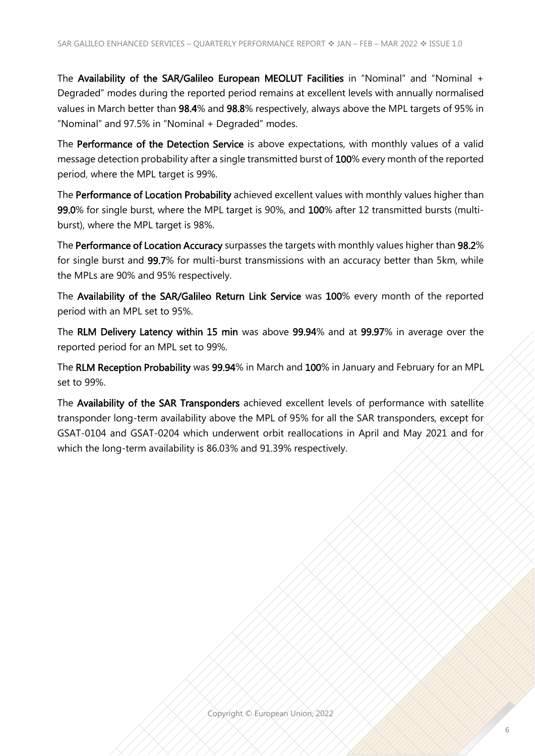The Availability of the SAR/Galileo European MEOLUT Facilities in "Nominal" and "Nominal + Degraded" modes during the reported period remains at excellent levels with annually normalised values in March better than 98.4% and 98.8% respectively, always above the MPL targets of 95% in "Nominal" and 97.5% in "Nominal + Degraded" modes.

The Performance of the Detection Service is above expectations, with monthly values of a valid message detection probability after a single transmitted burst of 100% every month of the reported period, where the MPL target is 99%.

The Performance of Location Probability achieved excellent values with monthly values higher than 99.0% for single burst, where the MPL target is 90%, and 100% after 12 transmitted bursts (multiburst), where the MPL target is 98%.

The Performance of Location Accuracy surpasses the targets with monthly values higher than 98.2% for single burst and 99.7% for multi-burst transmissions with an accuracy better than 5km, while the MPLs are 90% and 95% respectively.

The Availability of the SAR/Galileo Return Link Service was 100% every month of the reported period with an MPL set to 95%.

The RLM Delivery Latency within 15 min was above 99.94% and at 99.97% in average over the reported period for an MPL set to 99%.

The RLM Reception Probability was 99.94% in March and 100% in January and February for an MPL set to 99%.

The Availability of the SAR Transponders achieved excellent levels of performance with satellite transponder long-term availability above the MPL of 95% for all the SAR transponders, except for GSAT-0104 and GSAT-0204 which underwent orbit reallocations in April and May 2021 and for which the long-term availability is 86.03% and 91.39% respectively.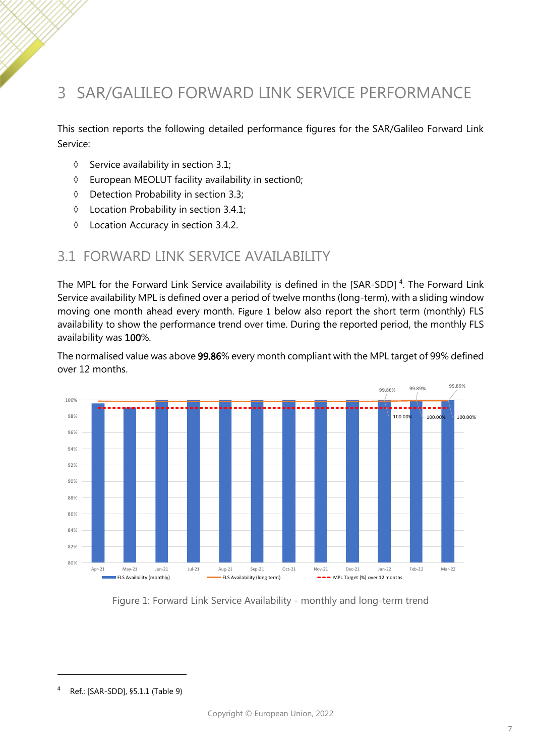## <span id="page-10-0"></span>3 SAR/GALILEO FORWARD LINK SERVICE PERFORMANCE

This section reports the following detailed performance figures for the SAR/Galileo Forward Link Service:

- $\Diamond$  Service availability in section [3.1;](#page-10-1)
- European MEOLUT facility availability in sectio[n0;](#page-10-3)
- Detection Probability in section [3.3;](#page-13-0)
- Location Probability in section [3.4.1;](#page-14-3)
- Location Accuracy in section [3.4.2.](#page-16-2)

#### <span id="page-10-1"></span>3.1 FORWARD LINK SERVICE AVAILABILITY

The MPL for the Forward Link Service availability is defined in the [\[SAR-SDD\]](#page-23-1)<sup>4</sup>. The Forward Link Service availability MPL is defined over a period of twelve months (long-term), with a sliding window moving one month ahead every month. [Figure 1](#page-10-2) below also report the short term (monthly) FLS availability to show the performance trend over time. During the reported period, the monthly FLS availability was 100%.

The normalised value was above 99.86% every month compliant with the MPL target of 99% defined over 12 months.



<span id="page-10-3"></span><span id="page-10-2"></span>Figure 1: Forward Link Service Availability - monthly and long-term trend

<sup>4</sup> Ref.: [\[SAR-SDD\],](#page-23-1) §5.1.1 (Table 9)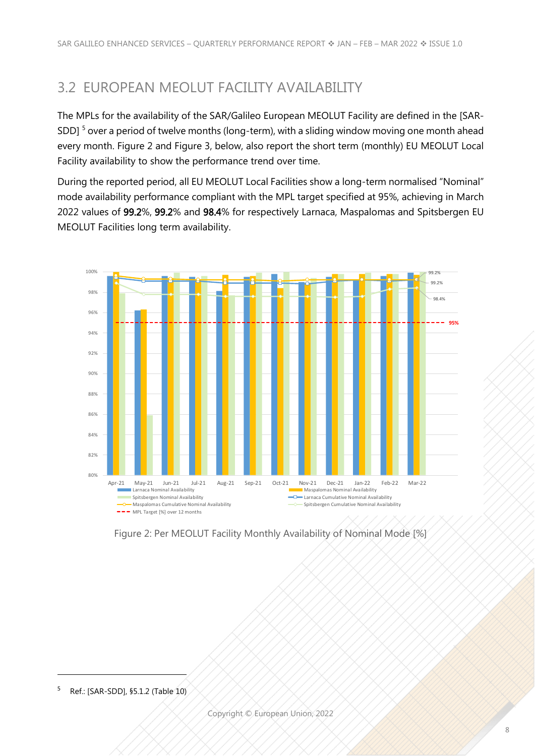#### <span id="page-11-0"></span>3.2 EUROPEAN MEOLUT FACILITY AVAILABILITY

The MPLs for the availability of the SAR/Galileo European MEOLUT Facility are defined in the [\[SAR-](#page-23-1)[SDD\]](#page-23-1)<sup>5</sup> over a period of twelve months (long-term), with a sliding window moving one month ahead every month. [Figure 2](#page-11-1) and [Figure 3,](#page-12-0) below, also report the short term (monthly) EU MEOLUT Local Facility availability to show the performance trend over time.

During the reported period, all EU MEOLUT Local Facilities show a long-term normalised "Nominal" mode availability performance compliant with the MPL target specified at 95%, achieving in March 2022 values of 99.2%, 99.2% and 98.4% for respectively Larnaca, Maspalomas and Spitsbergen EU MEOLUT Facilities long term availability.



<span id="page-11-1"></span>Figure 2: Per MEOLUT Facility Monthly Availability of Nominal Mode [%]

<sup>5</sup> Ref.: [\[SAR-SDD\],](#page-23-1) §5.1.2 (Table 10)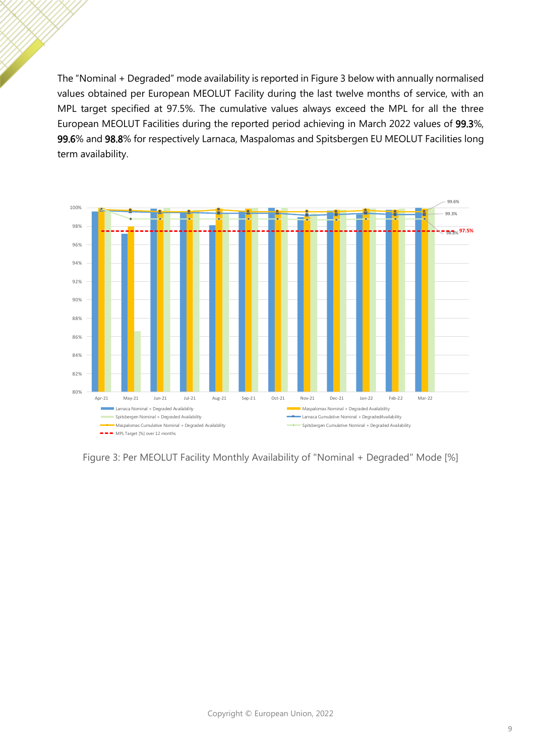The "Nominal + Degraded" mode availability is reported in [Figure 3](#page-12-0) below with annually normalised values obtained per European MEOLUT Facility during the last twelve months of service, with an MPL target specified at 97.5%. The cumulative values always exceed the MPL for all the three European MEOLUT Facilities during the reported period achieving in March 2022 values of 99.3%, 99.6% and 98.8% for respectively Larnaca, Maspalomas and Spitsbergen EU MEOLUT Facilities long term availability.



<span id="page-12-0"></span>Figure 3: Per MEOLUT Facility Monthly Availability of "Nominal + Degraded" Mode [%]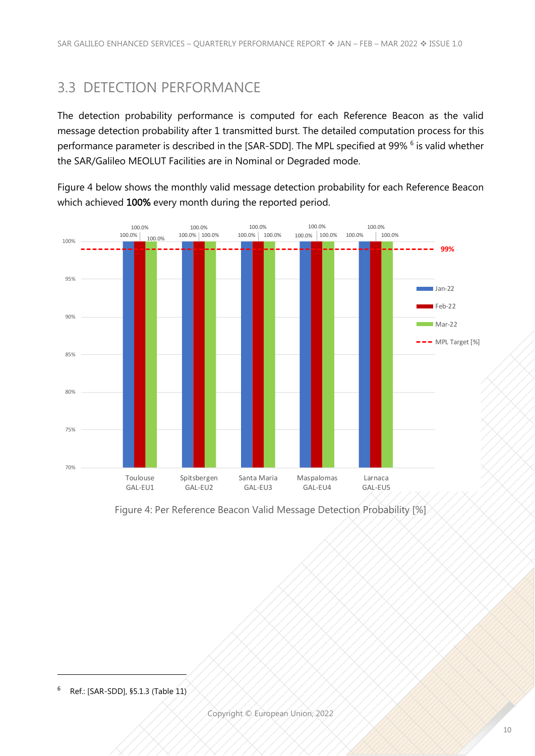#### <span id="page-13-0"></span>3.3 DETECTION PERFORMANCE

The detection probability performance is computed for each Reference Beacon as the valid message detection probability after 1 transmitted burst. The detailed computation process for this performance parameter is described in the [\[SAR-SDD\].](#page-23-1) The MPL specified at 99% <sup>6</sup> is valid whether the SAR/Galileo MEOLUT Facilities are in Nominal or Degraded mode.

[Figure 4](#page-13-1) below shows the monthly valid message detection probability for each Reference Beacon which achieved 100% every month during the reported period.



<span id="page-13-1"></span>Figure 4: Per Reference Beacon Valid Message Detection Probability [%]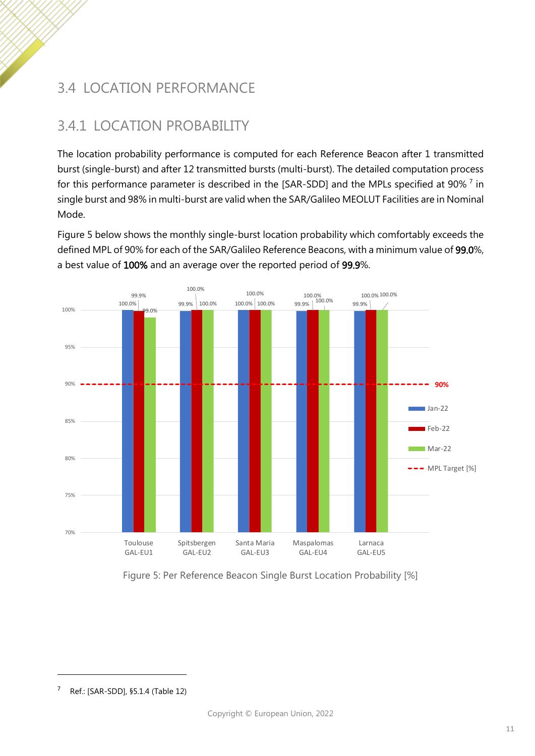## <span id="page-14-0"></span>3.4 LOCATION PERFORMANCE

## <span id="page-14-3"></span><span id="page-14-1"></span>3.4.1 LOCATION PROBABILITY

The location probability performance is computed for each Reference Beacon after 1 transmitted burst (single-burst) and after 12 transmitted bursts (multi-burst). The detailed computation process for this performance parameter is described in the [\[SAR-SDD\]](#page-23-1) and the MPLs specified at 90%  $^7$  in single burst and 98% in multi-burst are valid when the SAR/Galileo MEOLUT Facilities are in Nominal Mode.

[Figure 5](#page-14-2) below shows the monthly single-burst location probability which comfortably exceeds the defined MPL of 90% for each of the SAR/Galileo Reference Beacons, with a minimum value of 99.0%, a best value of 100% and an average over the reported period of 99.9%.



<span id="page-14-2"></span>Figure 5: Per Reference Beacon Single Burst Location Probability [%]

<sup>7</sup> Ref.: [\[SAR-SDD\],](#page-23-1) §5.1.4 (Table 12)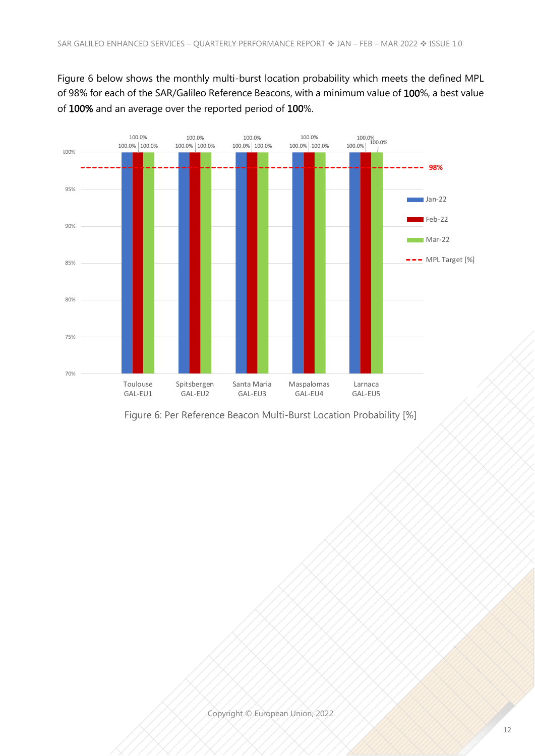[Figure 6](#page-15-0) below shows the monthly multi-burst location probability which meets the defined MPL of 98% for each of the SAR/Galileo Reference Beacons, with a minimum value of 100%, a best value of 100% and an average over the reported period of 100%.

**Per Reference Beacon Multi-Burst Location Probability [%]**



<span id="page-15-0"></span>Figure 6: Per Reference Beacon Multi-Burst Location Probability [%]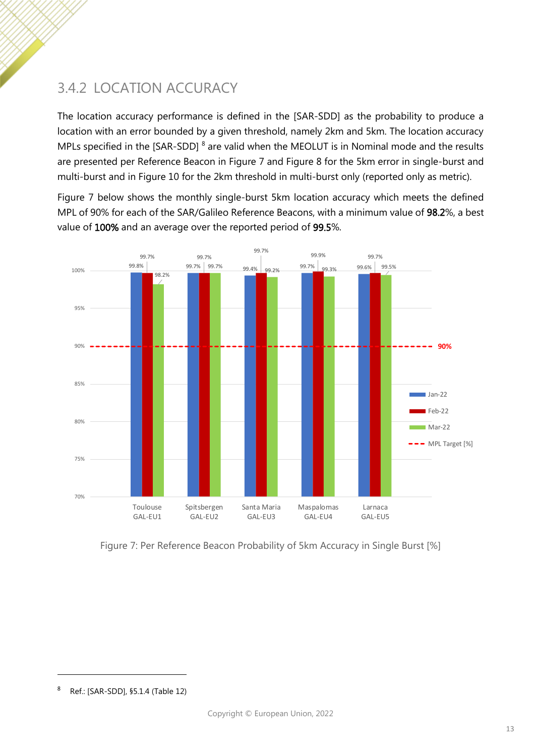## <span id="page-16-2"></span><span id="page-16-0"></span>3.4.2 LOCATION ACCURACY

The location accuracy performance is defined in the [\[SAR-SDD\]](#page-23-1) as the probability to produce a location with an error bounded by a given threshold, namely 2km and 5km. The location accuracy MPLs specified in the [\[SAR-SDD\]](#page-23-1)  $^8$  are valid when the MEOLUT is in Nominal mode and the results are presented per Reference Beacon in [Figure 7](#page-16-1) and [Figure 8](#page-17-0) for the 5km error in single-burst and multi-burst and in [Figure 10](#page-21-2) for the 2km threshold in multi-burst only (reported only as metric).

[Figure 7](#page-16-1) below shows the monthly single-burst 5km location accuracy which meets the defined MPL of 90% for each of the SAR/Galileo Reference Beacons, with a minimum value of 98.2%, a best value of 100% and an average over the reported period of 99.5%.



<span id="page-16-1"></span>Figure 7: Per Reference Beacon Probability of 5km Accuracy in Single Burst [%]

<sup>8</sup> Ref.: [\[SAR-SDD\],](#page-23-1) §5.1.4 (Table 12)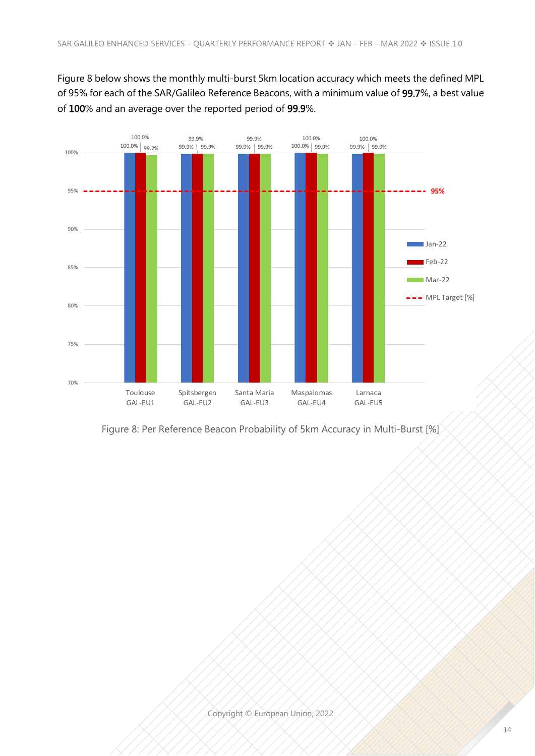[Figure 8](#page-17-0) below shows the monthly multi-burst 5km location accuracy which meets the defined MPL of 95% for each of the SAR/Galileo Reference Beacons, with a minimum value of 99.7%, a best value of 100% and an average over the reported period of 99.9%.



<span id="page-17-0"></span>Figure 8: Per Reference Beacon Probability of 5km Accuracy in Multi-Burst [%]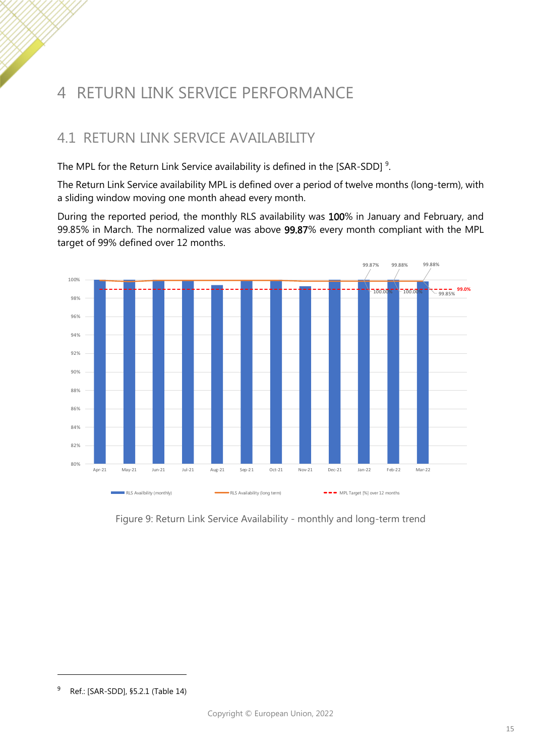# <span id="page-18-0"></span>4 RETURN LINK SERVICE PERFORMANCE

#### <span id="page-18-1"></span>4.1 RETURN LINK SERVICE AVAILABILITY

The MPL for the Return Link Service availability is defined in the [\[SAR-SDD\]](#page-23-1)  $^9$ .

The Return Link Service availability MPL is defined over a period of twelve months (long-term), with a sliding window moving one month ahead every month.

During the reported period, the monthly RLS availability was 100% in January and February, and 99.85% in March. The normalized value was above 99.87% every month compliant with the MPL target of 99% defined over 12 months.



<span id="page-18-2"></span>Figure 9: Return Link Service Availability - monthly and long-term trend

<sup>9</sup> Ref.: [\[SAR-SDD\],](#page-23-1) §5.2.1 (Table 14)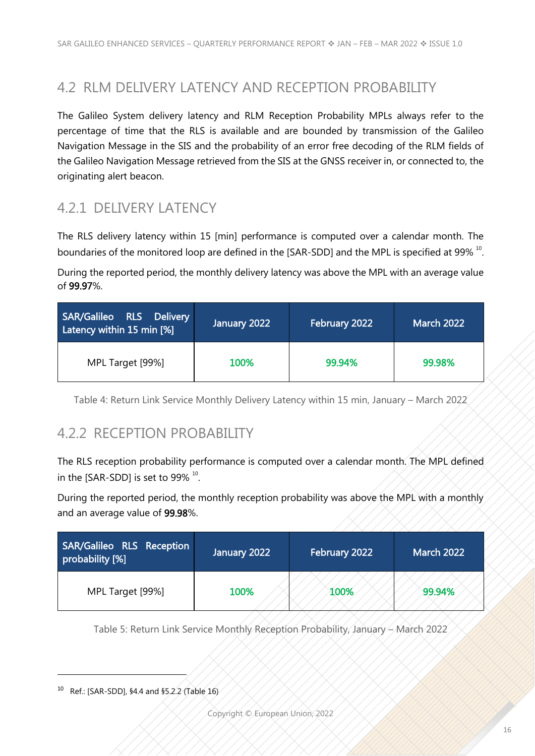#### <span id="page-19-0"></span>4.2 RLM DELIVERY LATENCY AND RECEPTION PROBABILITY

The Galileo System delivery latency and RLM Reception Probability MPLs always refer to the percentage of time that the RLS is available and are bounded by transmission of the Galileo Navigation Message in the SIS and the probability of an error free decoding of the RLM fields of the Galileo Navigation Message retrieved from the SIS at the GNSS receiver in, or connected to, the originating alert beacon.

#### <span id="page-19-1"></span>4.2.1 DELIVERY LATENCY

<span id="page-19-3"></span>The RLS delivery latency within 15 [min] performance is computed over a calendar month. The boundaries of the monitored loop are defined in the [\[SAR-SDD\]](#page-23-1) and the MPL is specified at 99%  $^{10}$ .

During the reported period, the monthly delivery latency was above the MPL with an average value of 99.97%.

| SAR/Galileo RLS Delivery<br>Latency within 15 min [%] | January 2022 | February 2022 | <b>March 2022</b> |
|-------------------------------------------------------|--------------|---------------|-------------------|
| MPL Target [99%]                                      | 100%         | 99.94%        | 99.98%            |

<span id="page-19-2"></span>Table 4: Return Link Service Monthly Delivery Latency within 15 min, January – March 2022

#### 4.2.2 RECEPTION PROBABILITY

The RLS reception probability performance is computed over a calendar month. The MPL defined in the [\[SAR-SDD\]](#page-23-1) is set to 99%  $^{10}$  $^{10}$  $^{10}$ .

During the reported period, the monthly reception probability was above the MPL with a monthly and an average value of 99.98%.

| SAR/Galileo RLS Reception<br>probability [%] | January 2022 | February 2022 | <b>March 2022</b> |
|----------------------------------------------|--------------|---------------|-------------------|
| MPL Target [99%]                             | 100%         | 100%          | 99.94%            |

Table 5: Return Link Service Monthly Reception Probability, January – March 2022

<sup>10</sup> Ref.: [\[SAR-SDD\],](#page-23-1) §4.4 and §5.2.2 (Table 16)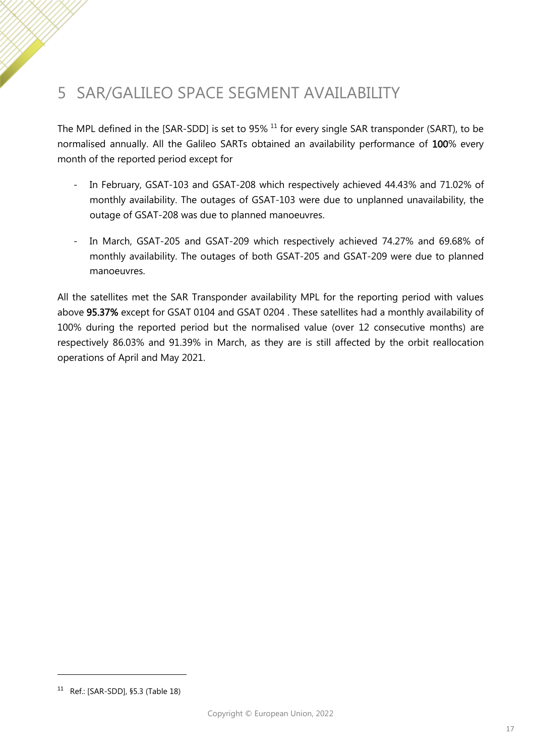# <span id="page-20-0"></span>5 SAR/GALILEO SPACE SEGMENT AVAILABILITY

The MPL defined in the [\[SAR-SDD\]](#page-23-1) is set to 95% <sup>11</sup> for every single SAR transponder (SART), to be normalised annually. All the Galileo SARTs obtained an availability performance of 100% every month of the reported period except for

- In February, GSAT-103 and GSAT-208 which respectively achieved 44.43% and 71.02% of monthly availability. The outages of GSAT-103 were due to unplanned unavailability, the outage of GSAT-208 was due to planned manoeuvres.
- In March, GSAT-205 and GSAT-209 which respectively achieved 74.27% and 69.68% of monthly availability. The outages of both GSAT-205 and GSAT-209 were due to planned manoeuvres.

All the satellites met the SAR Transponder availability MPL for the reporting period with values above 95.37% except for GSAT 0104 and GSAT 0204 . These satellites had a monthly availability of 100% during the reported period but the normalised value (over 12 consecutive months) are respectively 86.03% and 91.39% in March, as they are is still affected by the orbit reallocation operations of April and May 2021.

<sup>11</sup> Ref.: [\[SAR-SDD\],](#page-23-1) §5.3 (Table 18)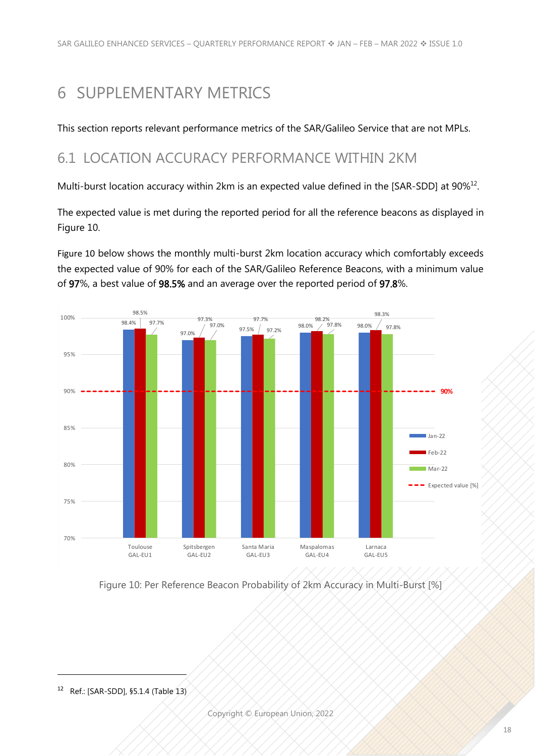# <span id="page-21-0"></span>6 SUPPLEMENTARY METRICS

This section reports relevant performance metrics of the SAR/Galileo Service that are not MPLs.

### <span id="page-21-1"></span>6.1 LOCATION ACCURACY PERFORMANCE WITHIN 2KM

Multi-burst location accuracy within 2km is an expected value defined in the [\[SAR-SDD\]](#page-23-1) at 90%<sup>12</sup>.

The expected value is met during the reported period for all the reference beacons as displayed in [Figure 10.](#page-21-2)

[Figure 10](#page-21-2) below shows the monthly multi-burst 2km location accuracy which comfortably exceeds the expected value of 90% for each of the SAR/Galileo Reference Beacons, with a minimum value of 97%, a best value of 98.5% and an average over the reported period of 97.8%.



<span id="page-21-2"></span>Figure 10: Per Reference Beacon Probability of 2km Accuracy in Multi-Burst [%]

<sup>12</sup> Ref.: [\[SAR-SDD\],](#page-23-1) §5.1.4 (Table 13)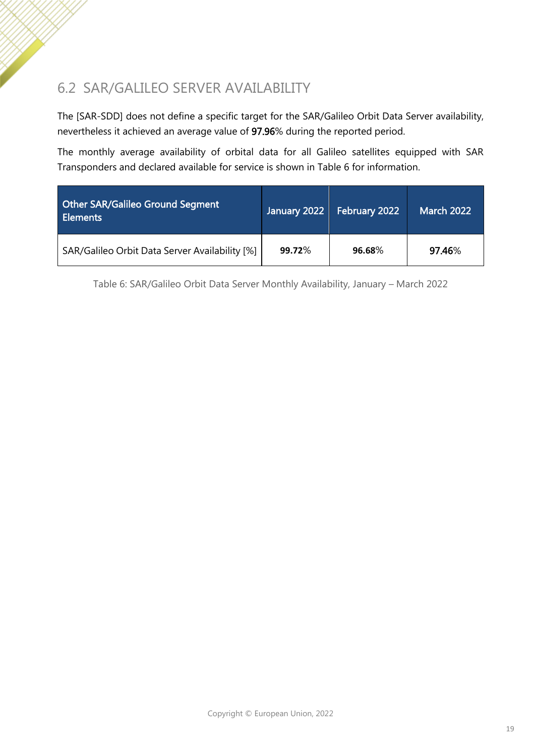### <span id="page-22-0"></span>6.2 SAR/GALILEO SERVER AVAILABILITY

The [\[SAR-SDD\]](#page-23-1) does not define a specific target for the SAR/Galileo Orbit Data Server availability, nevertheless it achieved an average value of 97.96% during the reported period.

The monthly average availability of orbital data for all Galileo satellites equipped with SAR Transponders and declared available for service is shown in [Table 6](#page-22-1) for information.

| <b>Other SAR/Galileo Ground Segment</b><br><b>Elements</b> | January 2022 | February 2022 | <b>March 2022</b> |
|------------------------------------------------------------|--------------|---------------|-------------------|
| SAR/Galileo Orbit Data Server Availability [%]             | 99.72%       | 96.68%        | 97.46%            |

<span id="page-22-1"></span>Table 6: SAR/Galileo Orbit Data Server Monthly Availability, January – March 2022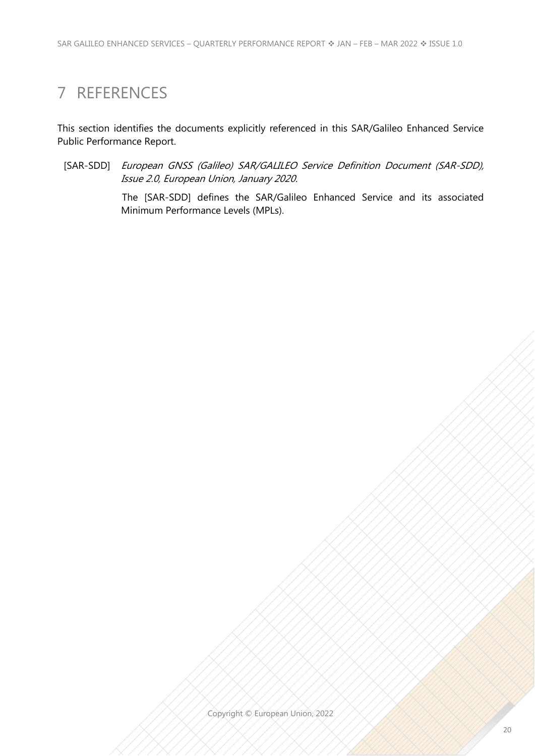### <span id="page-23-0"></span>7 REFERENCES

This section identifies the documents explicitly referenced in this SAR/Galileo Enhanced Service Public Performance Report.

<span id="page-23-1"></span>[SAR-SDD] European GNSS (Galileo) SAR/GALILEO Service Definition Document (SAR-SDD), Issue 2.0, European Union, January 2020.

> The [SAR-SDD] defines the SAR/Galileo Enhanced Service and its associated Minimum Performance Levels (MPLs).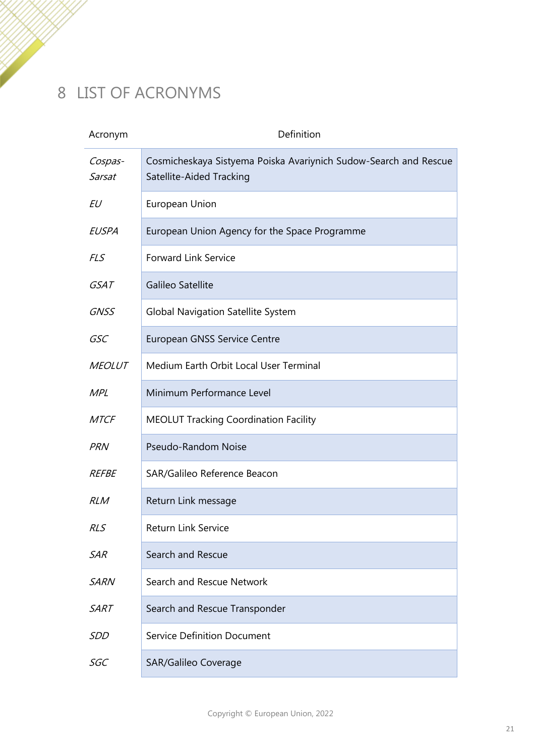# <span id="page-24-0"></span>8 LIST OF ACRONYMS

| Acronym           | Definition                                                                                   |
|-------------------|----------------------------------------------------------------------------------------------|
| Cospas-<br>Sarsat | Cosmicheskaya Sistyema Poiska Avariynich Sudow-Search and Rescue<br>Satellite-Aided Tracking |
| EU                | European Union                                                                               |
| EUSPA             | European Union Agency for the Space Programme                                                |
| <b>FLS</b>        | <b>Forward Link Service</b>                                                                  |
| <i>GSAT</i>       | Galileo Satellite                                                                            |
| <b>GNSS</b>       | <b>Global Navigation Satellite System</b>                                                    |
| GSC               | <b>European GNSS Service Centre</b>                                                          |
| <b>MEOLUT</b>     | Medium Earth Orbit Local User Terminal                                                       |
| <b>MPL</b>        | Minimum Performance Level                                                                    |
| <b>MTCF</b>       | <b>MEOLUT Tracking Coordination Facility</b>                                                 |
| <b>PRN</b>        | Pseudo-Random Noise                                                                          |
| <i>REFBE</i>      | SAR/Galileo Reference Beacon                                                                 |
| <b>RLM</b>        | Return Link message                                                                          |
| RLS               | Return Link Service                                                                          |
| <b>SAR</b>        | Search and Rescue                                                                            |
| <b>SARN</b>       | Search and Rescue Network                                                                    |
| <b>SART</b>       | Search and Rescue Transponder                                                                |
| SDD               | <b>Service Definition Document</b>                                                           |
| SGC               | <b>SAR/Galileo Coverage</b>                                                                  |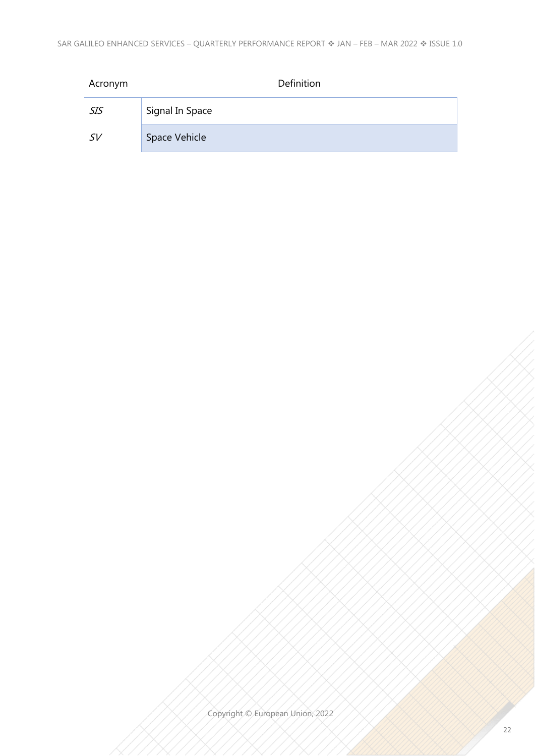| Acronym    | Definition      |
|------------|-----------------|
| <i>SIS</i> | Signal In Space |
| SV         | Space Vehicle   |

Copyright © European Union, 2022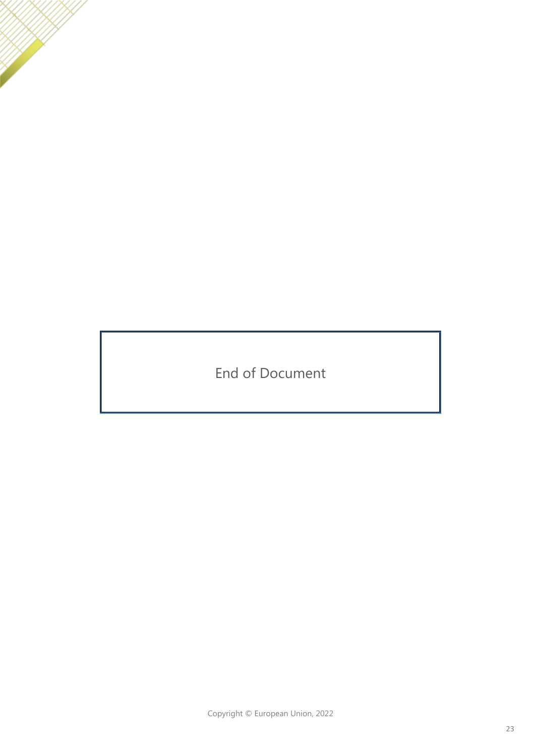End of Document